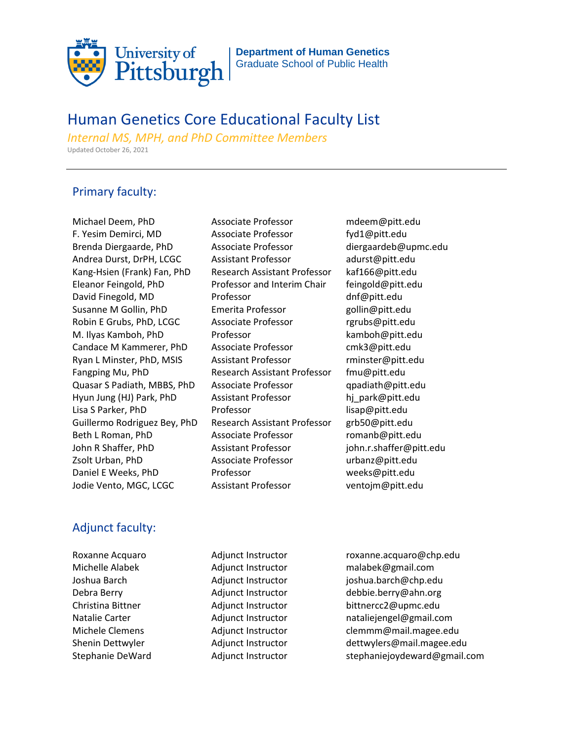

**Department of Human Genetics**  Graduate School of Public Health

## Human Genetics Core Educational Faculty List

*Internal MS, MPH, and PhD Committee Members* Updated October 26, 2021

## Primary faculty:

Michael Deem, PhD Associate Professor mdeem@pitt.edu F. Yesim Demirci, MD Associate Professor fyd1@pitt.edu Brenda Diergaarde, PhD Associate Professor diergaardeb@upmc.edu Andrea Durst, DrPH, LCGC Assistant Professor adurst@pitt.edu Kang-Hsien (Frank) Fan, PhD Research Assistant Professor kaf166@pitt.edu Eleanor Feingold, PhD Professor and Interim Chair feingold@pitt.edu David Finegold, MD Professor and description of the part of the part of the Professor and device during the distribution of the Dividing Dividing Dividing Dividing Dividing Dividing Dividing Dividing Dividing Dividing Divi Susanne M Gollin, PhD Emerita Professor gollin@pitt.edu Robin E Grubs, PhD, LCGC Associate Professor rgrubs@pitt.edu M. Ilyas Kamboh, PhD Professor **M. Ilyas Kamboh@pitt.edu** Candace M Kammerer, PhD Associate Professor cmk3@pitt.edu Ryan L Minster, PhD, MSIS Assistant Professor minster@pitt.edu Fangping Mu, PhD Research Assistant Professor fmu@pitt.edu Quasar S Padiath, MBBS, PhD Associate Professor apadiath@pitt.edu Hyun Jung (HJ) Park, PhD Assistant Professor hi park@pitt.edu Lisa S Parker, PhD **Professor nimilal professor** lisap@pitt.edu Guillermo Rodriguez Bey, PhD Research Assistant Professor grb50@pitt.edu Beth L Roman, PhD **Associate Professor** romanb@pitt.edu John R Shaffer, PhD Assistant Professor john.r.shaffer@pitt.edu Zsolt Urban, PhD Associate Professor urbanz@pitt.edu Daniel E Weeks, PhD Professor **Weeks@pitt.edu** Jodie Vento, MGC, LCGC Assistant Professor ventojm@pitt.edu

## Adjunct faculty:

Roxanne Acquaro **Adjunct Instructor** roxanne.acquaro@chp.edu Michelle Alabek Adjunct Instructor malabek@gmail.com Joshua Barch Adjunct Instructor joshua.barch@chp.edu Debra Berry **Adjunct Instructor** debbie.berry@ahn.org Christina Bittner **Adjunct Instructor** bittnercc2@upmc.edu Natalie Carter **Adjunct Instructor** nataliejengel@gmail.com Michele Clemens Adjunct Instructor clemmm@mail.magee.edu Shenin Dettwyler Adjunct Instructor dettwylers@mail.magee.edu Stephanie DeWard Adjunct Instructor stephaniejoydeward@gmail.com